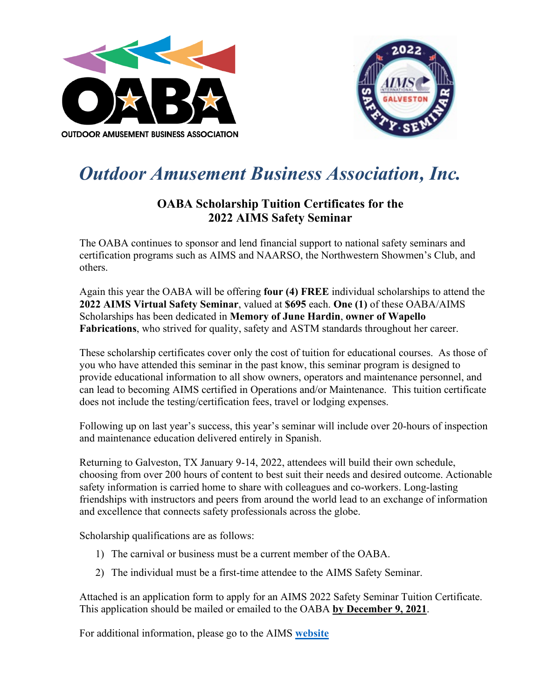



## *Outdoor Amusement Business Association, Inc.*

## **OABA Scholarship Tuition Certificates for the 2022 AIMS Safety Seminar**

The OABA continues to sponsor and lend financial support to national safety seminars and certification programs such as AIMS and NAARSO, the Northwestern Showmen's Club, and others.

Again this year the OABA will be offering **four (4) FREE** individual scholarships to attend the **2022 AIMS Virtual Safety Seminar**, valued at **\$695** each. **One (1)** of these OABA/AIMS Scholarships has been dedicated in **Memory of June Hardin**, **owner of Wapello Fabrications**, who strived for quality, safety and ASTM standards throughout her career.

These scholarship certificates cover only the cost of tuition for educational courses. As those of you who have attended this seminar in the past know, this seminar program is designed to provide educational information to all show owners, operators and maintenance personnel, and can lead to becoming AIMS certified in Operations and/or Maintenance. This tuition certificate does not include the testing/certification fees, travel or lodging expenses.

Following up on last year's success, this year's seminar will include over 20-hours of inspection and maintenance education delivered entirely in Spanish.

Returning to Galveston, TX January 9-14, 2022, attendees will build their own schedule, choosing from over 200 hours of content to best suit their needs and desired outcome. Actionable safety information is carried home to share with colleagues and co-workers. Long-lasting friendships with instructors and peers from around the world lead to an exchange of information and excellence that connects safety professionals across the globe.

Scholarship qualifications are as follows:

- 1) The carnival or business must be a current member of the OABA.
- 2) The individual must be a first-time attendee to the AIMS Safety Seminar.

Attached is an application form to apply for an AIMS 2022 Safety Seminar Tuition Certificate. This application should be mailed or emailed to the OABA **by December 9, 2021**.

For additional information, please go to the AIMS **[website](https://aimsintl.org/aims-international-safety-seminar)**